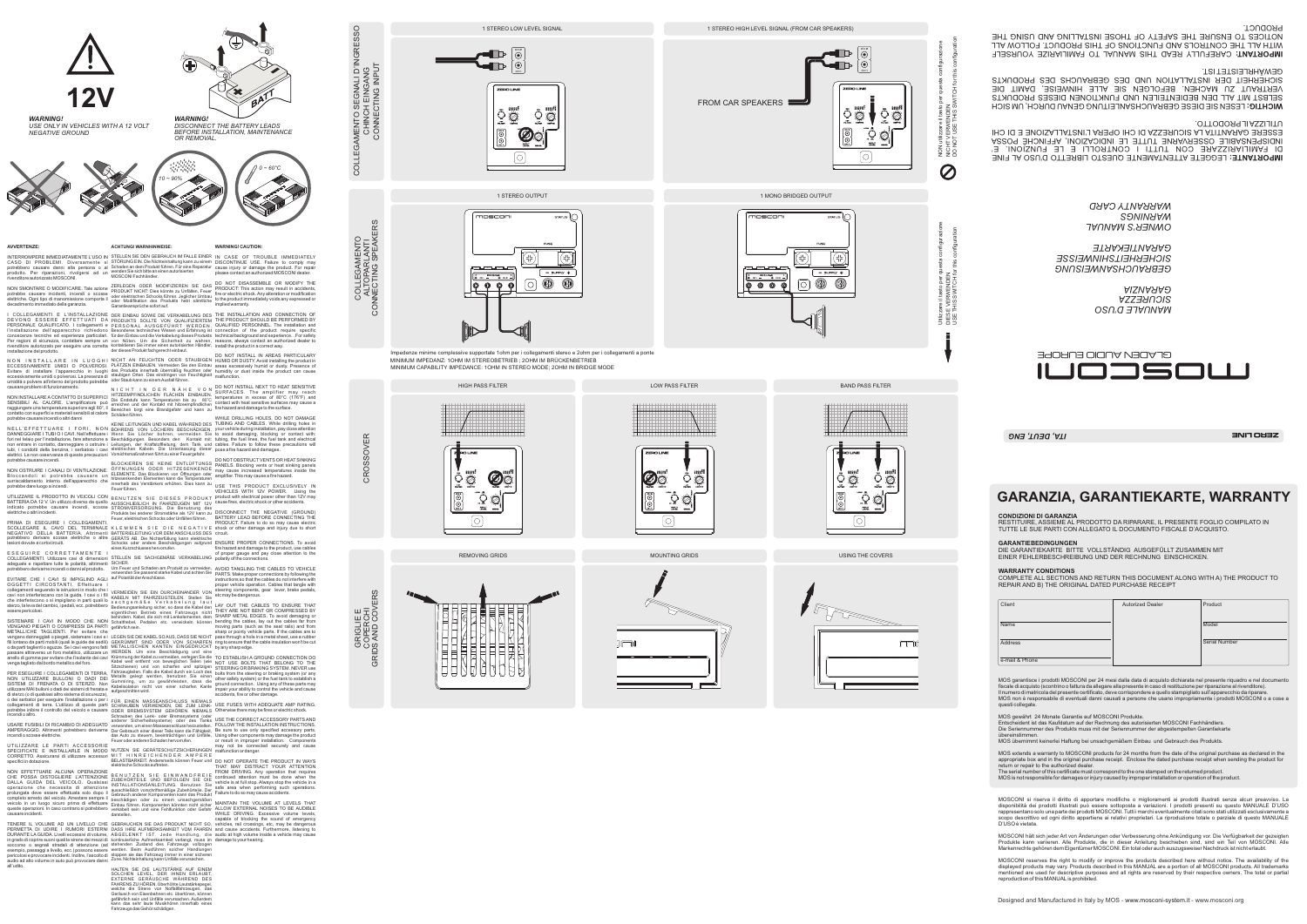BAND PASS FILTER

 $\Omega$ 

INPUT<br>LEVEL

 $\lbrack \odot \rbrack$ 

 $\circ$ 

1 MONO BRIDGED OUTPUT

noscor Utilizzare il tasto per questa configurazione (⊰⊱)  $=$  SUPPLY  $+$ DIESE VERWENDEN 0  $\bigcirc$  $0000$ 

HIGH PASS FILTER







MINIMUM CAPABILITY IMPEDANCE: 1OHM IN STEREO MODE; 2OHM IN BRIDGE MODE

# 1 STEREO LOW LEVEL SIGNAL

*MANUALE D'USO SICUREZZA GARANZIA*

*OWNER'S MANUAL WARRANTY CARD WARNINGS*

*GEBRAUCHSANWEISUNG SICHERHEITSHINWEISSE GARANTIEKARTE*

**AVVERTENZE:**

rivenditore autorizzato per eseguire una corretta installazione del prodotto. kontaktieren Sie immer einen autorisierten Händler, der dieses Produkt fachgerecht einbaut. install the product in <sup>a</sup> correct way. DER EINBAU SOWIE DIE VERKABELUNG DES<br>PRODUKTS SOLLTE VON QUALIFIZIERTEM<br>PERSONAL AUSGEFÜHRT WERDEN<br>Besonderes technisches Wissen und Erfahrung ist<br>Gürden Einbau und die Verkabelung dieses Produkts<br>von Nöten. Um die Sicherh

NICHT AN FEUCHTEN ODER STAUBIGEN<br>PLÄTZEN EINBAUEN. Vermeiden Sie den Einbau<br>des Produkts innerhalb übermäßig feuchten oder<br>staub kann zu einemAusfall führen.<br>oder Staub kann zu einem Ausfall führen.

N I C H T I N D E R N Ä H E V O N<br>HITZEEMPFINDLICHEN FLÄCHEN EINBAUEN.<br>Die Endstufe kann Temperaturen bis zu 80°C<br>Breichen und der Kontakt mit hitzeempfindlichen<br>Bereichen birgt eine Brandgefahr und kann zu<br>Schäden führen.

BOHRENS VON LÖCHERN BESCHÄDIGEN.<br>Wenn Sie Löcher bohren, vermeiden Sie<br>Beschädigungen. Besonders den Kontakt mit:<br>Leitungen, der Kraftstoffleitung, dem Tank und<br>elektrischen Kabeln. Die Unterlassung dieser

BLOCKIEREN SIE KEINE ENTLÜFTUNGS<br>ÖFFNUNGEN ODER HITZESENKENDE<br>ELEMENTE. Das Blockieren von Öffnungen oder<br>hitzesenkenden Elementen kann die Temperaturen<br>innerhalb des Verstärkers erhöhen. Dies kann zu<br>Feuer führen.

BENUTZEN SIE DIESES PRODUKT<br>AUSSCHLIEßLICH IN FAHRZEUGEN MIT 12V<br>STROMVERSORGUNG. Die Benutzung des<br>Produkts bei anderer Stromstärke als 12V kann zu<br>Feuer, elektrischen Schocks oder Unfällen führen.

KLEMMEN SIE DIE NEGATIVE<br>BATTERIELEITUNG VOR DEMANSCHLUSS DES<br>GERÄTS AB. Die Nichterfüllung kann elektrische

Schocks oder andere Beschädigungen aufgrund<br>sinesKurzschlusseshervorrufen.<br>STELLEN SIE SACHGEMÄßE VERKABELUNG<br>SICHER.<br>Um Feuer und Schaden am Produkt zu vermeiden,<br>verwenden Sie passend starke Kabel und achten Sie<br>auf Pola

VERMEIDEN SIE EIN DURCHEINANDER VON<br>KABELN MIT FAHRZEUGTEILEN. Stellen Sie<br>s a c h g e m ä ß e V e r k a b e l u n g l a u t<br>Bedienungsanleitung sicher, so dass die Kabel den<br>eigentlichen Betrieb eines Fahrzeugs nicht<br>behi

LEGEN SIEDIE KABEL SOAUS, DASS SIE NICHT<br>GEKRÜMMT SIND ODER VON SCHARFEN<br>METALLISCHEN KANTEN EINGEDRÜCKT<br>WERDEN. Um eine Beschädigung und eine<br>Krümmungder Kabel zu vermeiden, verlegen Sie die<br>Kabel weit entfernt von bewegl

FÜR EINEN MASSEANSCHLUSS NIEMALS<br>SCHRAUBEN VERWENDEN, DIE ZUM LENK-<br>ODER BREMSSYSTEM GEHÖREN. NIEMALS Schrauben des Lenk- oder Bremssystems (oder<br>anderer Sicherheitssysteme) oder des Tanks<br>verwenden,umeinen Masseanschluss herzustellen.<br>Der Gebrauch einer dieser Teile kann die Fähigkeit,

CASO DI PROBLEMI. Diversamente si potrebbero causare danni alla persona <sup>o</sup> al prodotto. Per riparazioni, rivolgersi ad un rivenditore autorizzato MOSCONI.

NON SMONTARE O MODIFICARE. Tale azione potrebbe causare incidenti, incendi <sup>o</sup> scosse elettriche. Ogni tipo di manomissione comporta il decadimento immediato della garanzia.

l COLLEGAMENTI E L'INSTALLAZIONE<br>DEVONO ESSERE EFFETTUATI DA<br>PERSONALE QUALIFICATO. I collegamenti e<br>l'installazione dell'apparecchio richiedono<br>conoscenze tecniche ed esperienza particolari.<br>Per ragioni di sicurezza, cont

N O N INSTALLARE IN LUOGHI<br>ECCESSIVAMENTE UMIDI O POLVEROSI.<br>Evitare di installare l'apparecchio in luoghi<br>eccessivamente umidio polverosi. La presenza di<br>umidità o polvere all'interno del prodotto potrebbe<br>causare problem

NELL'EFFETTUARE I FORI, NON<br>DANNEGGIARE ITUBIOICAVI. Nell'effettuare i<br>fori nel telaio per l'installazione, fare attenzione a<br>non entrare in contatto, danneggiare o ostruire i<br>tubi, i condotti della benzina, i serbatoio i elettrici. La non osservanza di queste precauzioni Vorsichtsmaßnahmen führt zu einer Feuergefahr. potrebbe causare incendi.

EVITARE CHE I CAVI SI IMPIGLINO AGLI OGGETTI CIRCOSTANTI. Effettuare i collegamenti seguendo le istruzioni in modo che i<br>cavi non interferiscano con la guida. I cavi o i fili<br>che interferiscono o si impigliano in parti quali lo<br>sterzo, la leva del cambio, i pedali, ecc. potrebbero<br>essere peri

SISTEMARE I CAVI IN MODO CHE NON VENGANO PIEGATI O COMPRESSI DA PARTI METALLICHE TAGLIENTI. Per evitare che<br>vengano danneggiati opiegati, sistemare icavi e i<br>fili lontano da parti mobili (quali le guide dei sedili)<br>o da parti taglienti o aguzze. Se i cavi vengono fatti<br>passare attraverso un

NON INSTALLARE A CONTATTO DI SUPERFICI SENSIBILI AL CALORE. L'amplificatore può raggiungere una temperatura superiore agli 80°, il contatto con superfici <sup>e</sup> materiali sensibili al calore potrebbe causare incendi <sup>o</sup> altri danni

PER ESEGUIRE I COLLEGAMENTI DI TERRA,<br>NON UTILIZZARE BULLONI O DADI DEI<br>SISTEMI DI FRENATA O DI STERZO. Non<br>utilizzare MAI bulloni o dadi dei sistemi di frenata e<br>di sterzo (o di qualsiasi altro sistema di sicurezza),<br>o de collegamenti di terra. L'utilizzo di queste parti potrebbe inibire il controllo del veicolo <sup>e</sup> causare incendi o altro.

NON OSTRUIRE I CANALI DI VENTILAZIONE. Bloccandoli si potrebbe causare un surriscaldamento interno dell'apparecchio che potrebbe dare luogo <sup>a</sup> incendi.

UTILIZZARE IL PRODOTTO IN VEICOLI CON BATTERIA DA 12 V. Un utilizzo diverso da quello indicato potrebbe causare incendi, scosse elettriche o altri incidenti. PRIMA DI ESEGUIRE I COLLEGAMENTI,

SCOLLEGARE IL CAVO DEL TERMINALE NEGATIVO DELLA BATTERIA. Altrimenti potrebbero derivare scosse elettriche <sup>o</sup> altre lesioni dovute a cortocircuiti.

INTERROMPERE IMMEDIATAMENTE L'USO IN STELLEN SIE DEN GEBRAUCH IM FALLE EINER IN CASE OF TROUBLE IMMEDIATELY STÖRUNG EIN. Die Nichteinhaltung kann zu einem Schaden an dem Produkt führen. Für eine Reparatur wenden Sie sich bitte an einen autorisierten MOSCONI Fachhändler.

ZERLEGEN ODER MODIFIZIEREN SIE DAS<br>PRODUKT NICHT: Dies könnte zu Unfällen, Feuer<br>oder elektrischen Schocks führen. Jeglicher Umbau<br>oder Modifikation des Produkts hebt sämtliche<br>Garantieansprüche sofort auf.

ESEGUIRE CORRETTAMENTE I COLLEGAMENTI. Utilizzare cavi di dimensioni adeguate <sup>e</sup> rispettare tutte le polarità, altrimenti potrebbero derivarne incendi <sup>o</sup> danni al prodotto.

USARE FUSIBILI DI RICAMBIO DI ADEGUATO AMPERAGGIO. Altrimenti potrebbero derivarne incendi o scosse elettriche.

UTILIZZARE LE PARTI ACCESSORIE SPECIFICATE E INSTALLARLE IN MODO CORRETTO. Assicurarsi di utilizzare accessori specifici in dotazione.

NON EFFETTUARE ALCUNA OPERAZIONE<br>CHE POSSA DISTOGLIERE L'ATTENZIONE<br>DALLA GUIDA DEL VEICOLO. Qualsiasi<br>operazione che necessita di attenzione<br>prolungata deve essere effettuata solo dopo il<br>completo arresto del veicolo. Arr

GEBRAUCHEN SIE DAS PRODUKT NICHT SO, DASS IHRE AUFMERKSAMKEIT VOM FAHREN<br>ABGELENKT IST. Jede Handlung, die<br>kontinuierliche Aufmerksamkeit verlangt, muss im<br>stehenden Zustand des Fahrzeugs vollzogen<br>werden. Beim Ausführen solcher Handlungen<br>stoppen sie das Fah

TENERE IL VOLUME AD UN LIVELLO CHEPERMETTA DI UDIRE I RUMORI ESTERNI<br>DURANTE LA GUIDA. Livelli eccessivi di volume,<br>in grado dicoprire suoni quali le sirene dei mezzi di<br>soccorso o segnali stradali di attenzione (ad<br>esempio, passaggi a livello, ecc.) posso audio ad alto volume in auto può provocare danni Zone. Nichteinhaltung kann Unfälle verursachen. all'udito.

**ACHTUNG! WARNHINWEISE:**

WHILE DRILLING HOLES, DO NOT DAMAGE TUBING AND CABLES. While drilling holes in your vehicle during installation, pay close attention<br>to avoid damaging, blocking or contact with:<br>tubing, the fuel lines, the fuel tank and electrical<br>cables. Failure to follow these precautions will<br>pose a fire hazard an

AVOID TANGLING THE CABLES TO VEHICLE<br>PARTS. Make proper connections by following the<br>instructions so that the cables do not interfere with<br>proper vehicle operation. Cables that tangle with steering components, gear lever, brake pedals, etc may be dangerous.

LAY OUT THE CABLES TO ENSURE THAT<br>THEY ARE NOT BENT OR COMPRESSED BY<br>SHARP METAL EDGES. To avoid damaging or<br>bending the cables, lay out the cables far from<br>moving parts (such as the seat rails) and from sharp or pointy vehicle parts. If the cables are to pass through <sup>a</sup> hole in <sup>a</sup> metal sheet, use <sup>a</sup> rubber ring to ensure that the cable insulation won't be cut by any sharp edge.

DO NOT OPERATE THE PRODUCT IN WAYS THAT MAY DISTRACT YOUR ATTENTION FROM DRIVING. Any operation that requires<br>continued attention must be done when the<br>vehicle is at full stop. Always stop the vehicle in a<br>safe area when performing such operations.<br>Failure to do so may cause accidents.

TENERE IL VOLUME AD UN LIVELLO CHE GEBRAUCHEN SIE DAS PRODUKT NICHT SO, vehicles, rail crossings, etc. may be dangerous<br>PERMETTA DI UDIRE I RUMORI ESTERNI DASS IHRE AUFMERKSAMKEIT VOM FAHREN and cause accidents. Furthermor MAINTAIN THE VOLUME AT LEVELS THAT<br>ALLOW EXTERNAL NOISES TO BE AUDIBLE<br>WHILE DRIVING. Excessive volume levels,<br>capable of blocking the sound of emergency<br>vehicles, rail crossings, etc, may be dangerous and cause accidents. Furthermore, listening to audio at high volume inside <sup>a</sup> vehicle may cause damage to your hearing.



MOSCONI si riserva il diritto di apportare modifiche o miglioramenti ai prodotti illustrati senza alcun preavvis disponibilità dei prodotti illustrati può essere sottoposta <sup>a</sup> variazioni. I prodotti presenti su questo MANUALE D'USO rappresentano solo una parte dei prodotti MOSCONI. Tutti i marchi eventualmente citati sono stati utilizzati esclusivamente <sup>a</sup>

MOSCONI reserves the right to modify or improve the products described here without notice. The availability of the<br>displayed products may vary. Products described in this MANUAL are a portion of all MOSCONI products. All mentioned are used for descriptive purposes and all rights are reserved by their respective owners. The total or partial reproduction of this MANUALis prohibited.

NUTZEN SIE GERÄTESCHUTZSICHERUNGEN MIT HINREICHENDER AMPERE BELASTBARKEIT. Andererseits können Feuer und elektrische Schocks auftreten.

BENUTZEN SIE EINWANDFREIE<br>ZUBEHÖRTEILE UND BEFOLGEN SIE DIE<br>INSTALLATIONSANLEITUNG. Benutzen Sie<br>ausschließlich vorschriftsmäßige Zubehörteile. Der<br>Gebrauch anderer Komponenten kann das Produkt<br>beschädigen oder zu einem un

Ch 2 $\odot$ 

HALTEN SIE DIE LAUTSTÄRKE AUF EINEM SOLCHEN LEVEL, DER IHNEN ERLAUBT, EXTERNE GERÄUSCHE WÄHREND DES FAHRENS ZU HÖREN. Überhöhte Lautstärkepegel, welche die Sirene von Notfallfahrzeugen, das Geräusch von Eisenbahnen etc. übertönen, können gefährlich sein und Unfälle verursachen. Außerdem kann das sehr laute Musikhören innerhalb eines Fahrzeugs das Gehör schädigen.

### **WARNING! CAUTION:**

DISCONTINUE USE. Failure to comply may cause injury or damage the product. For repair please contact an authorized MOSCONI dealer.

DO NOT DISASSEMBLE OR MODIFY THE PRODUCT: This action may result in accidents, fire or electric shock.Any alteration or modification to the product immediately voids any expressed or implied warranty.

THE INSTALLATION AND CONNECTION OF<br>THE PRODUCT SHOULD BE PERFORMED BY<br>QUALIFIED PERSONNEL. The installation and<br>connection of the product require specific<br>technical background and experience.. For safety<br>reasons, always co

DO NOT INSTALL IN AREAS PARTICULARY HUMID OR DUSTY. Avoid installing the product in areas excessively humid or dusty. Presence of humidity or dust inside the product can cause malfunction.

DO NOT INSTALL NEXT TO HEAT SENSITIVE SURFACES. The amplifier may reach temperatures in excess of 80°C (176°F) and contact with heat sensitive surfaces may cause <sup>a</sup> fire hazard and damage to the surface.

das Auto zu steuern, beeinträchtigen und Unfälle, Feuer oder anderen Schaden hervorrufen. Using other components may damage the product or result in improper installation. Components USE THE CORRECT ACCESSORY PARTS AND FOLLOW THE INSTALLATION INSTRUCTIONS. Be sure to use only specified accessory parts. may not be connected securely and cause malfunction or danger.

DO NOT OBSTRUCT VENTS OR HEAT SINKING PANELS. Blocking vents or heat sinking panels may cause increased temperatures inside the amplifier. This may cause <sup>a</sup> fire hazard.

USE THIS PRODUCT EXCLUSIVELY IN VEHICLES WITH 12V POWER. Using the product with electrical power other than 12V may cause fires, electric shock or other accidents.

DISCONNECT THE NEGATIVE (GROUND) BATTERY LEAD BEFORE CONNECTING THE PRODUCT. Failure to do so may cause electric shock or other damage and injury due to short circuit.

ENSURE PROPER CONNECTIONS. To avoid fire hazard and damage to the product, use cables of proper gauge and pay close attention to the polarity of the connections.

USE FUSES WITH ADEQUATE AMP RATING. Otherwise there may be fires or electric shock.

**IMPORTANTE:** LEGGETE ATTENTAMENTE QUESTO LIBRETTO D'USO AL FINE DI FAMILIARIZZARE CON TUTTI I CONTROLLI E LE FUNZIONI. E' INDISPENSABILE OSSERVARNE TUTTE LE INDICAZIONI, AFFINCHÉ POSSA ESSERE GARANTITA LA SICUREZZA DI CHI OPERA L'INSTALLAZIONE E DI CHI UTILIZZAILPRODOTTO.

**IMPORTANT:** CAREFULLY READ THIS MANUAL TO FAMILIARIZE YOURSELF WITH ALL THE CONTROLS AND FUNCTIONS OF THIS PRODUCT. FOLLOW ALL NOTICES TO ENSURE THE SAFETY OF THOSE INSTALLING AND USING THE PRODUCT.

LESEN SIE DIESE GEBRAUCHSANLEITUNG GENAU DURCH, UM SICH **WICHTIG:** SELBST MIT ALL DEN BEDIENTEILEN UND FUNKTIONEN DIESES PRODUKTS VERTRAUT ZU MACHEN. BEFOLGEN SIE ALLE HINWEISE, DAMIT DIE SICHERHEIT DER INSTALLATION UND DES GEBRAUCHS DES PRODUKTS GEWÄHRLEISTET IST.

*WARNING!*

*DISCONNECT THE BATTERY LEADS BEFORE INSTALLATION, MAINTENANCE OR REMOVAL.*





*WARNING!*

*USE ONLY IN VEHICLES WITH A 12 VOLT*



*NEGATIVE GROUND*

scopo descrittivo ed ogni diritto appartiene ai relativi proprietari. La riproduzione totale <sup>o</sup> parziale di questo MANUALE D'USO è vietata.

MOSCONI hält sich jeder Art von Änderungen oder Verbesserung ohne Ankündigung vor. Die Verfügbarkeit der gezeigten Produkte kann variieren. Alle Produkte, die in dieser Anleitung beschieben sind, sind ein Teil von MOSCONI. Alle Markenrechte gehören dem Eigentümer MOSCONI. Ein total oder auch auszugsweiser Nachdruck ist nicht erlaubt.

**GARANZIA, GARANTIEKARTE, WARRANTY**

**CONDIZIONI DI GARANZIA**

**GARANTIEBEDINGUNGEN**

**WARRANTY CONDITIONS**

RESTITUIRE, ASSIEME AL PRODOTTO DA RIPARARE, IL PRESENTE FOGLIO COMPILATO IN

DIE GARANTIEKARTE BITTE VOLLSTÄNDIG AUSGEFÜLLT ZUSAMMEN MIT

TUTTE LE SUE PARTI CON ALLEGATO IL DOCUMENTO FISCALE D'ACQUISTO.

COMPLETE ALL SECTIONS AND RETURN THIS DOCUMENT ALONG WITH A) THE PRODUCT TO

EINER FEHLERBESCHREIBUNG UND DER RECHNUNG EINSCHICKEN.

REPAIR AND B) THE ORIGINAL DATED PURCHASE RECEIPT

Client **Autorized Dealer Autorized Dealer** 

MOS garantisce i prodotti MOSCONI per 24 mesi dalla data di acquisto dichiarata nel presente riquadro <sup>e</sup> nel documento fiscale di acquisto (scontrino <sup>o</sup> fattura da allegare alla presente in caso di restituzione per riparazione al rivenditore). Il numero di matricola del presente certificato, deve corrispondere <sup>a</sup> quello stampigliato sull'apparecchio da riparare. MOS non è responsabile di eventuali danni causati <sup>a</sup> persone che usano impropriamente i prodotti MOSCONl <sup>o</sup> <sup>a</sup> cose <sup>a</sup>

**Model** 

questi collegate.

MOS gewährt 24 Monate Garantie auf MOSCONI Produkte.

Entscheident ist das Kaufdatum auf der Rechnung des autorisierten MOSCONI Fachhändlers. Die Seriennummer des Produkts muss mit der Seriennummer der abgestempelten Garantiekarte übereinstimmen.

MOS übernimmt keinerlei Haftung bei unsachgemäßem Einbau und Gebrauch des Produkts.

MOS extends <sup>a</sup> warranty to MOSCONI products for 24 months from the date of the original purchase as declared in the appropriate box and in the original purchase receipt. Enclose the dated purchase receipt when sending the product for return or repair to the authorized dealer.

The serial number of this certificate must correspond to the one stamped on the returned product.

MOS is not responsible for damages or injury caused by improper installation or operation of the product.

Name

Address

e-mail & Phone

 $\overline{\circ}$ 

Product

**ZERO LINE**

**Serial Number** 



*ITA, DEUT, ENG*

COLLEGAMENTO SEGNALI D'INGRESSO ONGANG EING CONNECTING INPUT

COLLEGAMENTO SEGNALI D'INGRESSO<br>CHINCH EINGANG<br>CONNECTING INPUT

USE THIS SWITCH for this configuration

![](_page_0_Figure_64.jpeg)

GRIGLIE E

COPERCHI CROSSOVER

CROSSOVER

TO ESTABLISH A GROUND CONNECTION DO<br>NOT USE BOLTS THAT BELONG TO THE<br>STEERING OR BRAKING SYSTEM. NEVER use<br>bother safety system) or braking system (or any<br>other safety system) or the fuel tank to establish a<br>ground connect

GRIDS AND COVERS

ERS

![](_page_0_Figure_110.jpeg)

# *0 <sup>~</sup> 60°C*

# *10 <sup>~</sup> 90%*

NON utilizzare il tasto per questa configurazione

NICHT VERWENDEN

NON utilizzare il tasto p<br>NICHT VERWENDEN<br>DO NOT USE THIS SW

 $\overline{O}$ 

DO NOT USE THIS SWITCH for this configuration

![](_page_0_Figure_61.jpeg)

 $\circledcirc$ 

COLLEGAMENTO ALTOPARLANTI CONNECTING SPEAKERS

COLLEGAMENTO<br>ALTOPARLANTI<br>CONNECTING SPEAKERS

Ch 1

 $\bigcirc$ 

 $\overline{O}$   $\overline{Q}$ 

 $\ddot{\circ}$ 

UP

Ch 2

![](_page_0_Figure_111.jpeg)

FROM CAR SPEAKERS

![](_page_0_Picture_112.jpeg)

Ch 1

 $\begin{array}{c} \circ \circ \\ \circ \circ \end{array}$ 

 $\Omega$ 

 $[0]$